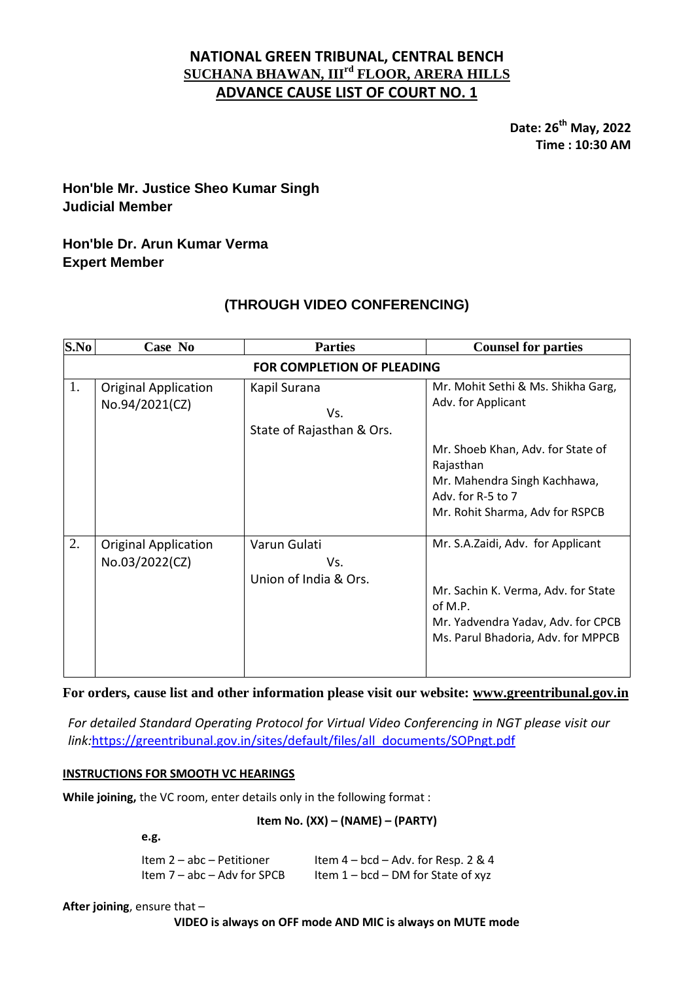## **NATIONAL GREEN TRIBUNAL, CENTRAL BENCH SUCHANA BHAWAN, IIIrd FLOOR, ARERA HILLS ADVANCE CAUSE LIST OF COURT NO. 1**

**Date: 26 th May, 2022 Time : 10:30 AM**

# **Hon'ble Mr. Justice Sheo Kumar Singh Judicial Member**

## **Hon'ble Dr. Arun Kumar Verma Expert Member**

# **(THROUGH VIDEO CONFERENCING)**

| S.No                              | Case No                                       | <b>Parties</b>                                   | <b>Counsel for parties</b>                                                                                                                                      |  |
|-----------------------------------|-----------------------------------------------|--------------------------------------------------|-----------------------------------------------------------------------------------------------------------------------------------------------------------------|--|
| <b>FOR COMPLETION OF PLEADING</b> |                                               |                                                  |                                                                                                                                                                 |  |
| 1.                                | <b>Original Application</b><br>No.94/2021(CZ) | Kapil Surana<br>Vs.<br>State of Rajasthan & Ors. | Mr. Mohit Sethi & Ms. Shikha Garg,<br>Adv. for Applicant<br>Mr. Shoeb Khan, Adv. for State of<br>Rajasthan<br>Mr. Mahendra Singh Kachhawa,                      |  |
|                                   |                                               |                                                  | Adv. for R-5 to 7<br>Mr. Rohit Sharma, Adv for RSPCB                                                                                                            |  |
| 2.                                | <b>Original Application</b><br>No.03/2022(CZ) | Varun Gulati<br>Vs.<br>Union of India & Ors.     | Mr. S.A.Zaidi, Adv. for Applicant<br>Mr. Sachin K. Verma, Adv. for State<br>of M.P.<br>Mr. Yadvendra Yadav, Adv. for CPCB<br>Ms. Parul Bhadoria, Adv. for MPPCB |  |

**For orders, cause list and other information please visit our website: [www.greentribunal.gov.in](http://www.greentribunal.gov.in/)**

*For detailed Standard Operating Protocol for Virtual Video Conferencing in NGT please visit our link:*[https://greentribunal.gov.in/sites/default/files/all\\_documents/SOPngt.pdf](https://greentribunal.gov.in/sites/default/files/all_documents/SOPngt.pdf)

## **INSTRUCTIONS FOR SMOOTH VC HEARINGS**

**While joining,** the VC room, enter details only in the following format :

## **Item No. (XX) – (NAME) – (PARTY)**

**e.g.**

| Item 2 - abc - Petitioner   | Item $4 - bcd - Adv$ . for Resp. 2 & 4 |
|-----------------------------|----------------------------------------|
| Item 7 - abc - Adv for SPCB | Item $1 - bcd - DM$ for State of xyz   |

**After joining**, ensure that –

#### **VIDEO is always on OFF mode AND MIC is always on MUTE mode**